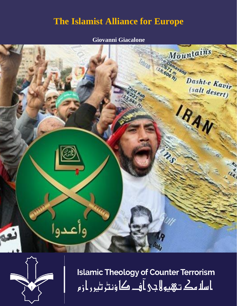## **The Islamist Alliance for Europe**

## **Giovanni Giacalone**





**Islamic Theology of Counter Terrorism** ا سلا مك تـهيو لا جي آف\_ کا ؤنٹر ٹير ر از م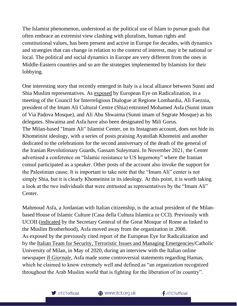The Islamist phenomenon, understood as the political use of Islam to pursue goals that often embrace an extremist view clashing with pluralism, human rights and constitutional values, has been present and active in Europe for decades, with dynamics and strategies that can change in relation to the context of interest, may it be national or local. The political and social dynamics in Europe are very different from the ones in Middle-Eastern countries and so are the strategies implemented by Islamists for their lobbying.

One interesting story that recently emerged in Italy is a local alliance between Sunni and Shia Muslim representatives. As [exposed](https://eeradicalization.com/muslim-brotherhood-and-khomeinism-in-italy-dr-tommaso-virgili-giovanni-giacalone/) by European Eye on Radicalization, in a meeting of the Council for Interreligious Dialogue at Regione Lombardia, Ali Faeznia, president of the Imam Ali Cultural Centre (Shia) entrusted Mohamed Asfa (Sunni imam of Via Padova Mosque), and Ali Abu Shwaima (Sunni imam of Segrate Mosque) as his delegates. Shwaima and Asfa have also been designated by Mili Gorus. The Milan-based "Imam Ali" Islamist Center, on its Instagram account, does not hide its Khomeinist ideology, with a series of posts praising Ayatollah Khomeini and another dedicated to the celebrations for the second anniversary of the death of the general of the Iranian Revolutionary Guards, Gassam Suleymani. In November 2021, the Center advertised a conference on "Islamic resistance to US hegemony" where the Iranian consul participated as a speaker. Other posts of the account also invoke the support for the Palestinian cause. It is important to take note that the "Imam Ali" center is not simply Shia, but it is clearly Khomeinist in its ideology. At this point, it is worth taking a look at the two individuals that were entrusted as representatives by the "Imam Ali" Center.

Mahmoud Asfa, a Jordanian with Italian citizenship, is the actual president of the Milanbased House of Islamic Culture (Casa della Cultura Islamica or CCI). Previously with UCOII [\(indicated](https://www.ilsussidiario.net/news/moschea-di-roma-accusa-ucoii-vicini-a-fratelli-musulmani-islam-in-italia-si-spacca/2035731/) by the Secretary General of the Great Mosque of Rome as linked to the Muslim Brotherhood), Asfa moved away from the organization in 2008. As exposed by the previously cited report of the European Eye for Radicalization and by the [Italian Team for Security, Terroristic Issues and Managing Emergencies/](https://www.itstime.it/w/lalleanza-tra-islamismo-sunnita-e-sciita-per-legemonia-in-europa-by-giovanni-giacalone/)Catholic University of Milan, in May of 2020, during an interview with the Italian online newspaper *[Il Giornale](https://www.ilgiornale.it/news/cronache/intervista-mahmoud-asfa-imam-padova-milano-1864079.html)*, Asfa made some controversial statements regarding Hamas, which he claimed to know extremely well and defined as "an organization recognized throughout the Arab Muslim world that is fighting for the liberation of its country".

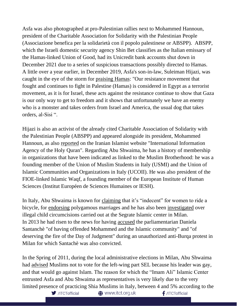Asfa was also photographed at pro-Palestinian rallies next to Mohammed Hannoun, president of the Charitable Association for Solidarity with the Palestinian People (Associazione benefica per la solidarietà con il popolo palestinese or ABSPP). ABSPP, which the Israeli domestic security agency Shin Bet classifies as the Italian emissary of the Hamas-linked Union of Good, had its Unicredit bank accounts shut down in December 2021 due to a series of suspicious transactions possibly directed to Hamas. A little over a year earlier, in December 2019, Asfa's son-in-law, Suleiman Hijazi, was caught in the eye of the storm for [praising Hamas:](https://www.ilgiornale.it/news/politica/chi-veramente-sardina-col-velo-che-insulta-salvini-1799428.html) "Our resistance movement that fought and continues to fight in Palestine (Hamas) is considered in Egypt as a terrorist movement, as it is for Israel, these acts against the resistance continue to show that Gaza is our only way to get to freedom and it shows that unfortunately we have an enemy who is a monster and takes orders from Israel and America, the usual dog that takes orders, al-Sisi ".

Hijazi is also an activist of the already cited Charitable Association of Solidarity with the Palestinian People (ABSPP) and appeared alongside its president, Mohammed Hannoun, as also [reported](https://iqna.ir/it/news/3481619/l%E2%80%99associazione-dei-palestinesi-in-italia-tra-festival-progetti-e-missioni-umanitarie) on the Iranian Islamist website "International Information Agency of the Holy Quran". Regarding Abu Shwaima, he has a history of membership in organizations that have been indicated as linked to the Muslim Brotherhood: he was a founding member of the Union of Muslim Students in Italy (USMI) and the Union of Islamic Communities and Organizations in Italy (UCOII). He was also president of the FIOE-linked Islamic Waqf, a founding member of the European Institute of Human Sciences (Institut Européen de Sciences Humaines or IESH).

In Italy, Abu Shwaima is known for [claiming](https://www.ilgiornale.it/news/cronache/islamici-contro-donne-bici-restiamo-allibiti-dalle-italiane-1229214.html) that it's "indecent" for women to ride a bicycle, for [endorsing](https://www.ilgiornale.it/news/politica/programma-moderato-italia-poligamia-diritto-che-ci-spetta-1294640.html) polygamous marriages and he has also been [investigated](https://ricerca.repubblica.it/repubblica/archivio/repubblica/2001/02/20/segrate-mutilazioni-religiose-condannati-imam-medici.html) over illegal child circumcisions carried out at the Segrate Islamic center in Milan. In 2013 he had risen to the news for having [accused](https://www.ilgiorno.it/martesana/cronaca/2013/11/19/984742-santanche-islam-imam-segrate.shtml) the parliamentarian Daniela Santanchè "of having offended Mohammed and the Islamic community" and "of deserving the fire of the Day of Judgment" during an unauthorized anti-Burqa protest in Milan for which Santachè was also convicted.

In the Spring of 2011, during the local administrative elections in Milan, Abu Shwaima had [advised](http://www.vita.it/it/article/2011/05/09/imam-segratenon-votate-sel-perche-vendola-e-gay/108932/) Muslims not to vote for the left-wing part SEL because his leader was gay, and that would go against Islam. The reason for which the "Imam Ali" Islamic Center entrusted Asfa and Abu Shwaima as representatives is very likely due to the very limited presence of practicing Shia Muslims in Italy, between 4 and 5% according to the

/ITCTofficial

**◆ www.itct.org.uk** 

 $f$ /ITCTofficial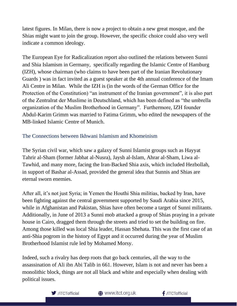latest figures. In Milan, there is now a project to obtain a new great mosque, and the Shias might want to join the group. However, the specific choice could also very well indicate a common ideology.

The European Eye for Radicalization report also outlined the relations between Sunni and Shia Islamism in Germany, specifically regarding the Islamic Centre of Hamburg (IZH), whose chairman (who claims to have been part of the Iranian Revolutionary Guards ) was in fact invited as a guest speaker at the 4th annual conference of the Imam Ali Centre in Milan. While the IZH is (in the words of the German Office for the Protection of the Constitution) "an instrument of the Iranian government", it is also part of the Zentralrat der Muslime in Deutschland, which has been defined as "the umbrella organization of the Muslim Brotherhood in Germany". Furthermore, IZH founder Abdul-Karim Grimm was married to Fatima Grimm, who edited the newspapers of the MB-linked Islamic Centre of Munich.

## The Connections between Ikhwani Islamism and Khomeinism

The Syrian civil war, which saw a galaxy of Sunni Islamist groups such as Hayyat Tahrir al-Sham (former Jabhat al-Nusra), Jaysh al-Islam, Ahrar al-Sham, Liwa al-Tawhid, and many more, facing the Iran-Backed Shia axis, which included Hezbollah, in support of Bashar al-Assad, provided the general idea that Sunnis and Shias are eternal sworn enemies.

After all, it's not just Syria; in Yemen the Houthi Shia militias, backed by Iran, have been fighting against the central government supported by Saudi Arabia since 2015, while in Afghanistan and Pakistan, Shias have often become a target of Sunni militants. Additionally, in June of 2013 a Sunni mob attacked a group of Shias praying in a private house in Cairo, dragged them through the streets and tried to set the building on fire. Among those killed was local Shia leader, Hassan Shehata. This was the first case of an anti-Shia pogrom in the history of Egypt and it occurred during the year of Muslim Brotherhood Islamist rule led by Mohamed Morsy.

Indeed, such a rivalry has deep roots that go back centuries, all the way to the assassination of Ali ibn Abi Talib in 661. However, Islam is not and never has been a monolithic block, things are not all black and white and especially when dealing with political issues.

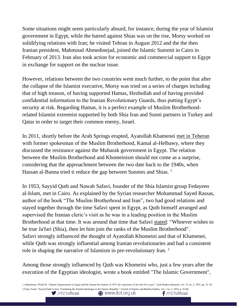Some situations might seem particularly absurd, for instance, during the year of Islamist government in Egypt, while the hatred against Shias was on the rise, Morsy worked on solidifying relations with Iran; he visited Tehran in August 2012 and the the then Iranian president, Mahmoud Ahmedinejad, joined the Islamic Summit in Cairo in February of 2013. Iran also took action for economic and commercial support to Egypt in exchange for support on the nuclear issue.

However, relations between the two countries went much further, to the point that after the collapse of the Islamist executive, Morsy was tried on a series of charges including that of high treason, of having supported Hamas, Hezbollah and of having provided confidential information to the Iranian Revolutionary Guards, thus putting Egypt's security at risk. Regarding Hamas, it is a perfect example of Muslim Brotherhoodrelated Islamist extremist supported by both Shia Iran and Sunni partners in Turkey and Qatar in order to target their common enemy, Israel.

In 2011, shortly before the Arab Springs erupted, Ayatollah Khamenei [met in Teheran](https://www.youtube.com/watch?v=FeaeSnMhhYQ) with former spokesman of the Muslim Brotherhood, Kamal al-Helbawy, where they discussed the resistance against the Mubarak government in Egypt. The relation between the Muslim Brotherhood and Khomeinism should not come as a surprise, considering that the approachment between the two date back to the 1940s, when Hassan al-Banna tried ti reduce the gap between Sunnies and Shias.<sup>1</sup>

In 1953, Sayyid Qutb and Nawab Safavi, founder of the Shia Islamist group Fedayeen al-Islam, met in Cairo. As explained by the Syrian researcher Mohammad Sayed Rassas, author of the book "The Muslim Brotherhood and Iran", two had good relations and stayed together through the time Safavi spent in Egypt, as Qutb himself arranged and supervised the Iranian cleric's visit as he was in a leading position in the Muslim Brotherhood at that time. It was around that time that Safavi [stated:](http://www.ikhwanis.com/articles/mfvhkde-sayyid-qutb-and-nearness-with-rafidees-nawab-safawi-al-shiiyy.cfm) "Whoever wishes to be true Ja'fari (Shia), then let him join the ranks of the Muslim Brotherhood". Safavi strongly influenced the thought of Ayatollah Khomeini and that of Khamenei, while Qutb was strongly influential among Iranian revolutionaries and had a consistent role in shaping the narrative of Islamism in pre-revolutionary Iran. <sup>2</sup>

Among those strongly influenced by Qutb was Khomeini who, just a few years after the execution of the Egyptian ideologist, wrote a book entitled "The Islamic Government",

1 Abdelnasser, Walid M. "Islamic Organizations in Egypt and the Iranian Revolution of 1979: the experience of the first few years". Arab Studies Quarterly, vol. 19, no. 2, 1997, pp. 25–39 2 Ünal, Yusuf. "Sayyid Quṭb in Iran: Translating the Islamist Ideologue in the Islamic Republic." Journal of Islamic and Muslim Studies, vol. 1 no. 2, 2016, p. 35-60.

**<sup>△</sup>** www.itct.org.uk